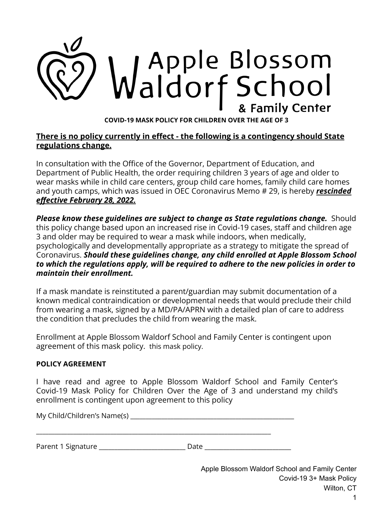

## **There is no policy currently in effect - the following is a contingency should State regulations change.**

In consultation with the Office of the Governor, Department of Education, and Department of Public Health, the order requiring children 3 years of age and older to wear masks while in child care centers, group child care homes, family child care homes and youth camps, which was issued in OEC Coronavirus Memo # 29, is hereby *rescinded effective February 28, 2022.*

*Please know these guidelines are subject to change as State regulations change.* Should this policy change based upon an increased rise in Covid-19 cases, staff and children age 3 and older may be required to wear a mask while indoors, when medically, psychologically and developmentally appropriate as a strategy to mitigate the spread of Coronavirus. *Should these guidelines change, any child enrolled at Apple Blossom School to which the regulations apply, will be required to adhere to the new policies in order to maintain their enrollment.*

If a mask mandate is reinstituted a parent/guardian may submit documentation of a known medical contraindication or developmental needs that would preclude their child from wearing a mask, signed by a MD/PA/APRN with a detailed plan of care to address the condition that precludes the child from wearing the mask.

Enrollment at Apple Blossom Waldorf School and Family Center is contingent upon agreement of this mask policy. this mask policy.

## **POLICY AGREEMENT**

I have read and agree to Apple Blossom Waldorf School and Family Center's Covid-19 Mask Policy for Children Over the Age of 3 and understand my child's enrollment is contingent upon agreement to this policy

My Child/Children's Name(s) **Example 20** 

\_\_\_\_\_\_\_\_\_\_\_\_\_\_\_\_\_\_\_\_\_\_\_\_\_\_\_\_\_\_\_\_\_\_\_\_\_\_\_\_\_\_\_\_\_\_\_\_\_\_\_\_\_\_\_\_\_\_\_\_\_\_\_\_\_\_\_\_\_\_\_\_\_\_\_\_

Parent 1 Signature \_\_\_\_\_\_\_\_\_\_\_\_\_\_\_\_\_\_\_\_\_\_\_\_\_\_\_\_ Date \_\_\_\_\_\_\_\_\_\_\_\_\_\_\_\_\_\_\_\_\_\_\_\_\_\_\_\_

Apple Blossom Waldorf School and Family Center Covid-19 3+ Mask Policy Wilton, CT